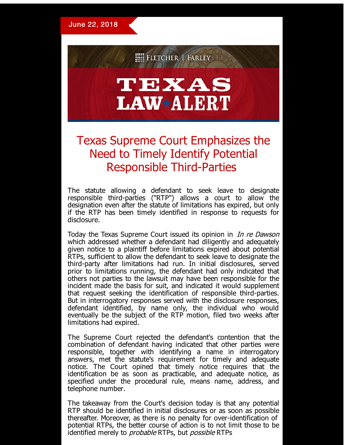

## TEXAS **LAW\*ALERT**

## Texas Supreme Court Emphasizes the Need to Timely Identify Potential Responsible Third-Parties

The statute allowing a defendant to seek leave to designate responsible third-parties ("RTP") allows a court to allow the designation even after the statute of limitations has expired, but only if the RTP has been timely identified in response to requests for disclosure.

Today the Texas Supreme Court issued its opinion in *In re Dawson* which addressed whether a defendant had diligently and adequately given notice to a plaintiff before limitations expired about potential RTPs, sufficient to allow the defendant to seek leave to designate the third-party after limitations had run. In initial disclosures, served prior to limitations running, the defendant had only indicated that others not parties to the lawsuit may have been responsible for the incident made the basis for suit, and indicated it would supplement that request seeking the identification of responsible third-parties. But in interrogatory responses served with the disclosure responses, defendant identified, by name only, the individual who would eventually be the subject of the RTP motion, filed two weeks after limitations had expired.

The Supreme Court rejected the defendant's contention that the combination of defendant having indicated that other parties were responsible, together with identifying a name in interrogatory answers, met the statute's requirement for timely and adequate notice. The Court opined that timely notice requires that the identification be as soon as practicable, and adequate notice, as specified under the procedural rule, means name, address, and telephone number.

The takeaway from the Court's decision today is that any potential RTP should be identified in initial disclosures or as soon as possible thereafter. Moreover, as there is no penalty for over-identification of potential RTPs, the better course of action is to not limit those to be identified merely to *probable* RTPs, but *possible* RTPs